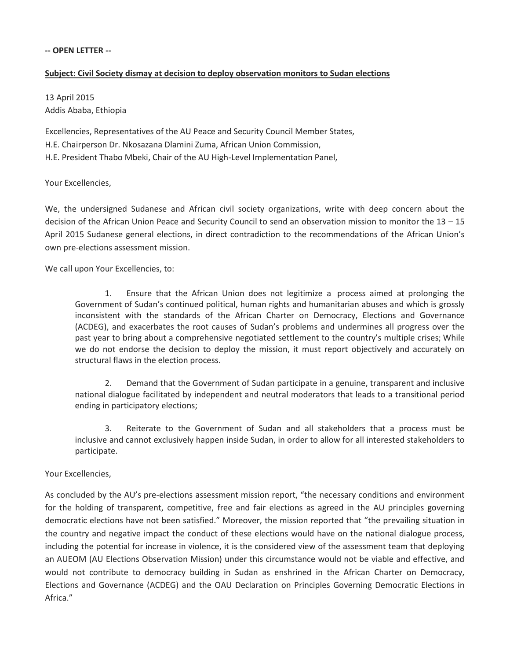## **-- OPEN LETTER --**

## **Subject: Civil Society dismay at decision to deploy observation monitors to Sudan elections**

13 April 2015 Addis Ababa, Ethiopia

Excellencies, Representatives of the AU Peace and Security Council Member States, H.E. Chairperson Dr. Nkosazana Dlamini Zuma, African Union Commission, H.E. President Thabo Mbeki, Chair of the AU High-Level Implementation Panel,

Your Excellencies,

We, the undersigned Sudanese and African civil society organizations, write with deep concern about the decision of the African Union Peace and Security Council to send an observation mission to monitor the 13 – 15 April 2015 Sudanese general elections, in direct contradiction to the recommendations of the African Union's own pre-elections assessment mission.

We call upon Your Excellencies, to:

1. Ensure that the African Union does not legitimize a process aimed at prolonging the Government of Sudan's continued political, human rights and humanitarian abuses and which is grossly inconsistent with the standards of the African Charter on Democracy, Elections and Governance (ACDEG), and exacerbates the root causes of Sudan's problems and undermines all progress over the past year to bring about a comprehensive negotiated settlement to the country's multiple crises; While we do not endorse the decision to deploy the mission, it must report objectively and accurately on structural flaws in the election process.

2. Demand that the Government of Sudan participate in a genuine, transparent and inclusive national dialogue facilitated by independent and neutral moderators that leads to a transitional period ending in participatory elections;

3. Reiterate to the Government of Sudan and all stakeholders that a process must be inclusive and cannot exclusively happen inside Sudan, in order to allow for all interested stakeholders to participate.

## Your Excellencies,

As concluded by the AU's pre-elections assessment mission report, "the necessary conditions and environment for the holding of transparent, competitive, free and fair elections as agreed in the AU principles governing democratic elections have not been satisfied." Moreover, the mission reported that "the prevailing situation in the country and negative impact the conduct of these elections would have on the national dialogue process, including the potential for increase in violence, it is the considered view of the assessment team that deploying an AUEOM (AU Elections Observation Mission) under this circumstance would not be viable and effective, and would not contribute to democracy building in Sudan as enshrined in the African Charter on Democracy, Elections and Governance (ACDEG) and the OAU Declaration on Principles Governing Democratic Elections in Africa."